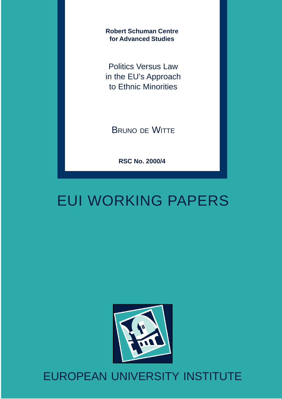**Robert Schuman Centre for Advanced Studies**

Politics Versus Law in the EU's Approach to Ethnic Minorities

BRUNO DE WITTE

**RSC No. 2000/4**

# EUI WORKING PAPERS



## EUROPEAN UNIVERSITY INSTITUTE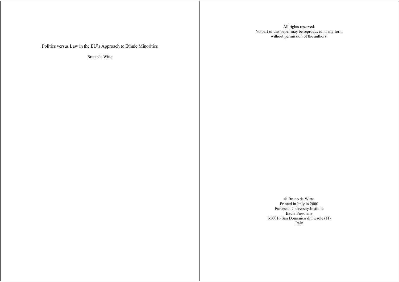All rights reserved. No part of this paper may be reproduced in any form without permission of the authors.

Politics versus Law in the EU's Approach to Ethnic Minorities

Bruno de Witte

© Bruno de Witte Printed in Italy in 2000 European University Institute Badia Fiesolana I-50016 San Domenico di Fiesole (FI) Italy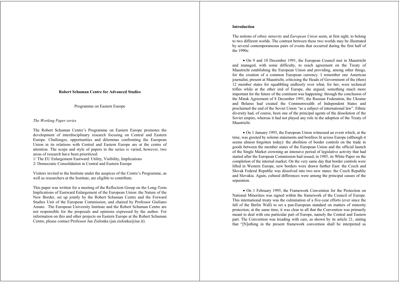#### **Robert Schuman Centre for Advanced Studies**

Programme on Eastern Europe

#### *The Working Paper series*

The Robert Schuman Centre's Programme on Eastern Europe promotes the development of interdisciplinary research focusing on Central and Eastern Europe. Challenges, opportunities and dilemmas confronting the European Union in its relations with Central and Eastern Europe are at the centre of attention. The scope and style of papers in the series is varied, however, two areas of research have been prioritized:

1/ The EU Enlargement Eastward: Utility, Visibility, Implications 2/ Democratic Consolidation in Central and Eastern Europe

Visitors invited to the Institute under the auspices of the Centre's Programme, as well as researchers at the Institute, are eligible to contribute.

This paper was written for a meeting of the Reflection Group on the Long-Term Implications of Eastward Enlargement of the European Union: the Nature of the New Border, set up jointly by the Robert Schuman Centre and the Forward Studies Unit of the European Commission, and chaired by Professor Giuliano Amato. The European University Institute and the Robert Schuman Centre are not responsible for the proposals and opinions expressed by the author. For information on this and other projects on Eastern Europe at the Robert Schuman Centre, please contact Professor Jan Zielonka (jan.zielonka@iue.it).

#### **Introduction**

The notions of *ethnic minority* and *European Union* seem, at first sight, to belong to two different worlds. The contrast between these two worlds may be illustrated by several contemporaneous pairs of events that occurred during the first half of the 1990s:

 On 9 and 10 December 1991, the European Council met in Maastricht and managed, with some difficulty, to reach agreement on the Treaty of Maastricht establishing the European Union and providing, among other things, for the creation of a common European currency. I remember one American journalist, present at Maastricht, criticising the Heads of Government of the (then) 12 member states for squabbling endlessly over what, for her, were technical trifles while at the other end of Europe, she argued, something much more important for the future of the continent was happening: through the conclusion of the Minsk Agreement of 8 December 1991, the Russian Federation, the Ukraine and Belarus had created the Commonwealth of Independent States and proclaimed the end of the Soviet Union "as a subject of international law". Ethnic diversity had, of course, been one of the principal agents of the dissolution of the Soviet empire, whereas it had not played any role in the adoption of the Treaty of Maastricht.

 On 1 January 1993, the European Union witnessed an event which, at the time, was greeted by solemn statements and bonfires lit across Europe (although it seems almost forgotten today): the abolition of border controls on the trade in goods between the member states of the European Union and the official launch of the Single Market crowning an intensive period of legislative activity that had started after the European Commission had issued, in 1985, its White Paper on the completion of the internal market. On the very same day that border controls were lifted in Western Europe, new borders were drawn further East: the Czech and Slovak Federal Republic was dissolved into two new states: the Czech Republic and Slovakia. Again, cultural differences were among the principal causes of the separation.

• On 1 February 1995, the Framework Convention for the Protection on National Minorities was signed within the framework of the Council of Europe. This international treaty was the culmination of a five-year efforts (ever since the fall of the Berlin Wall) to set a pan-European standard on matters of minority protection; at the same time, it was clear to all that the Convention was primarily meant to deal with one particular part of Europe, namely the Central and Eastern part. The Convention was treading with care, as shown by its article 21, stating that "[N]othing in the present framework convention shall be interpreted as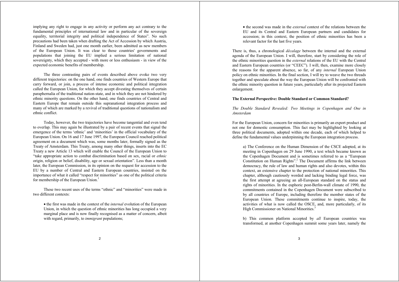implying any right to engage in any activity or perform any act contrary to the fundamental principles of international law and in particular of the sovereign equality, territorial integrity and political independence of States". No such precautions had been taken when drafting the Act of Accession by which Austria, Finland and Sweden had, just one month earlier, been admitted as new members of the European Union. It was clear to those countries' governments and populations that joining the EU implied a serious limitation of national sovereignty, which they accepted - with more or less enthusiasm - in view of the expected economic benefits of membership.

The three contrasting pairs of events described above evoke two very different trajectories: on the one hand, one finds countries of Western Europe that carry forward, or join, a process of intense economic and political integration called the European Union, for which they accept divesting themselves of certain paraphernalia of the traditional nation-state, and in which they are not hindered by ethnic minority questions. On the other hand, one finds countries of Central and Eastern Europe that remain outside this supranational integration process and many of which are marked by a revival of traditional questions of nationalism and ethnic conflict.

Today, however, the two trajectories have become tangential and even tend to overlap. This may again be illustrated by a pair of recent events that signal the emergence of the terms 'ethnic' and 'minorities' in the official vocabulary of the European Union. On 16 and 17 June 1997, the European Council reached political agreement on a document which was, some months later, formally signed as the Treaty of Amsterdam. This Treaty, among many other things, inserts into the EC Treaty a new Article 13 which will enable the Council of the European Union to "take appropriate action to combat discrimination based on sex, racial or *ethnic* origin, religion or belief, disability, age or sexual orientation". Less than a month later, the European Commission, in its opinion on the request for accession to the EU by a number of Central and Eastern European countries, insisted on the importance of what it called "respect for minorities" as one of the political criteria for membership of the European Union.<sup>1</sup>

These two recent uses of the terms "ethnic" and "minorities" were made in two different contexts:

• the first was made in the context of the *internal* evolution of the European Union, in which the question of ethnic minorities has long occupied a very marginal place and is now finally recognised as a matter of concern, albeit with regard, primarily, to *immigrant* populations;

• the second was made in the *external* context of the relations between the EU and its Central and Eastern European partners and candidates for accession; in this context, the position of ethnic minorities has been a relevant factor for the last five years.

There is, thus, a chronological *décalage* between the internal and the external agenda of the European Union. I will, therefore, start by considering the role of the ethnic minorities question in the *external* relations of the EU with the Central and Eastern European countries (or "CEEC"). I will, then, examine more closely the reasons for the apparent absence, so far, of any *internal* European Union policy on ethnic minorities. In the final section, I will try to weave the two threads together and speculate about the way the European Union will be confronted with the ethnic minority question in future years, particularly after its projected Eastern enlargement.

#### **The External Perspective: Double Standard or Common Standard?**

*The Double Standard Revealed: Two Meetings in Copenhagen and One in Amsterdam*

For the European Union, concern for minorities is primarily an export product and not one for domestic consumption. This fact may be highlighted by looking at three political documents, adopted within one decade, each of which helped to define the fundamental values underpinning the European integration process.

a) The Conference on the Human Dimension of the CSCE adopted, at its meeting in Copenhagen on 29 June 1990, a text which became known as the Copenhagen Document and is sometimes referred to as a "European Constitution on Human Rights".2 The Document affirms the link between democracy, the rule of law and human rights and also devotes, within this context, an extensive chapter to the protection of national minorities. This chapter, although cautiously worded and lacking binding legal force, was the first attempt at agreeing an all-European standard on the status and rights of minorities. In the euphoric post-Berlin-wall climate of 1990, the commitments contained in the Copenhagen Document were subscribed to by all countries of Europe, including therefore the member states of the European Union. These commitments continue to inspire, today, the activities of what is now called the OSCE, and, more particularly, of its High Commissioner on National Minorities.<sup>3</sup>

b) This common platform accepted by *all* European countries was transformed, at another Copenhagen summit some years later, namely the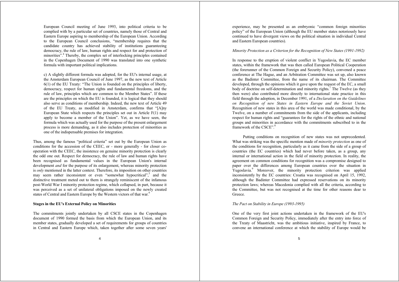European Council meeting of June 1993, into political criteria to be complied with by a particular set of countries, namely those of Central and Eastern Europe aspiring to membership of the European Union. According to the European Council conclusions, "membership requires that the candidate country has achieved stability of institutions guaranteeing democracy, the rule of law, human rights and respect for and protection of minorities".4 Thereby, the complex set of interlocking principles contained in the Copenhagen Document of 1990 was translated into one synthetic formula with important political implications.

c) A slightly different formula was adopted, for the EU's internal usage, at the Amsterdam European Council of June 1997, as the new text of Article 6(1) of the EU Treaty: "The Union is founded on the principles of liberty, democracy, respect for human rights and fundamental freedoms, and the rule of law, principles which are common to the Member States". If these are the principles on which the EU is founded, it is logical that they should also serve as conditions of membership. Indeed, the new text of Article 49 of the EU Treaty, as modified in Amsterdam, confirms that "[A]ny European State which respects the principles set out in Article  $F(1)$  may apply to become a member of the Union". Yet, as we have seen, the formula which was actually used for the purpose of the present enlargement process is more demanding, as it also includes protection of minorities as one of the indispensable premises for integration.

Thus, among the famous "political criteria" set out by the European Union as conditions for the accession of the CEEC, or - more generally - for closer cooperation with the CEEC, the insistence on genuine minority protection is clearly the odd one out. Respect for democracy, the rule of law and human rights have been recognised as fundamental values in the European Union's internal development *and* for the purpose of its enlargement, whereas minority protection is *only* mentioned in the latter context. Therefore, its imposition on other countries may seem rather inconsistent or even "somewhat hypocritical",<sup>5</sup> and the distinctive treatment meted out to them is strangely reminiscent of the infamous post-World War I minority protection regime, which collapsed, in part, because it was perceived as a set of unilateral obligations imposed on the newly created states of Central and Eastern Europe by the Western victors of that war.<sup>6</sup>

#### **Stages in the EU's External Policy on Minorities**

The commitments jointly undertaken by all CSCE states in the Copenhagen document of 1990 formed the basis from which the European Union, and its member states, gradually developed a set of requirements for groups of countries in Central and Eastern Europe which, taken together after some seven years'

experience, may be presented as an embryonic "common foreign minorities policy" of the European Union (although the EU member states notoriously have continued to have divergent views on the political situation in individual Central and Eastern European countries).

#### *Minority Protection as a Criterion for the Recognition of New States (1991-1992)*

In response to the eruption of violent conflict in Yugoslavia, the EC member states, within the framework that was then called European Political Cooperation (the forerunner of the Common Foreign and Security Policy), convened a peace conference at The Hague, and an Arbitration Committee was set up, also known as the Badinter Committee, from the name of its chairman. The Committee developed, through the opinions which it gave upon the request of the EC, a small body of doctrine on self-determination and minority rights.<sup>7</sup> The Twelve (as they then were) also contributed more directly to international state practice in this field through the adoption, in December 1991, of a *Declaration on the Guidelines on Recognition of new States in Eastern Europe and the Soviet Union*. Recognition of new states in this area of the world was made conditional, by the Twelve, on a number of commitments from the side of the applicants, including respect for human rights and "guarantees for the rights of the ethnic and national groups and minorities in accordance with the commitments subscribed to in the framework of the CSCE".<sup>8</sup>

Putting conditions on recognition of new states was not unprecedented. What was striking was the specific mention made of *minority protection* as one of the conditions for recognition, particularly as it came from the side of a group of countries (the EC countries) which had never before taken, as a group, any internal or international action in the field of minority protection. In reality, the agreement on common conditions for recognition was a compromise designed to paper over the differences among European countries over the situation in Yugoslavia.<sup>9</sup> Moreover, the minority protection criterion was applied inconsistently by the EC countries: Croatia was recognised on April 15, 1992, although the Badinter Committee had expressed reservations on its minority protection laws; whereas Macedonia complied with all the criteria, according to the Committee, but was not recognised at the time for other reasons dear to Greece.

#### *The Pact on Stability in Europe (1993-1995)*

One of the very first joint actions undertaken in the framework of the EU's Common Foreign and Security Policy, immediately after the entry into force of the Treaty of Maastricht, was the ambitious initiative, inspired by France, to convene an international conference at which the stability of Europe would be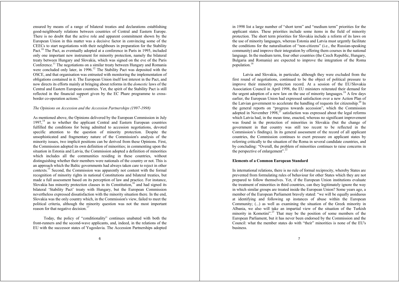ensured by means of a range of bilateral treaties and declarations establishing good-neighbourly relations between countries of Central and Eastern Europe. There is no doubt that the active role and apparent commitment shown by the European Union in this matter was a decisive factor in convincing some of the CEECs to start negotiations with their neighbours in preparation for the Stability Pact.<sup>10</sup> The Pact, as eventually adopted at a conference in Paris in 1995, included only one important new instrument for minority protection, namely the bilateral treaty between Hungary and Slovakia, which was signed on the eve of the Paris Conference.11 The negotiations on a similar treaty between Hungary and Romania were concluded only later, in  $1996$ <sup>12</sup> The Stability Pact was deposited with the OSCE, and that organisation was entrusted with monitoring the implementation of obligations contained in it. The European Union itself lost interest in the Pact, and now directs its efforts mainly at bringing about reforms in the *domestic* laws of the Central and Eastern European countries. Yet, the spirit of the Stability Pact is still reflected in the financial support given by the EC Phare programme to crossborder co-operation actions.<sup>1</sup>

#### *The Opinions on Accession and the Accession Partnerships (1997-1998)*

As mentioned above, the Opinions delivered by the European Commission in July  $1997<sup>14</sup>$  as to whether the applicant Central and Eastern European countries fulfilled the conditions for being admitted to accession negotiations, devoted specific attention to the question of minority protection. Despite the unsophisticated and fragmentary nature of the Commission's analysis of the minority issues, two implicit positions can be derived from these Opinions. First, the Commission adopted its own definition of minorities; in commenting upon the situation in Estonia and Latvia, the Commission adopted a definition of minorities which includes all the communities residing in these countries, without distinguishing whether their members were nationals of the country or not. This is an approach which the Baltic governments had always taken care to reject in other contexts.<sup>15</sup> Second, the Commission was apparently not content with the formal recognition of minority rights in national Constitutions and bilateral treaties, but made a full assessment based on its perception of law and practice. For instance, Slovakia has minority protection clauses in its Constitution,<sup>16</sup> and had signed its bilateral 'Stability Pact' treaty with Hungary, but the European Commission nevertheless expressed dissatisfaction with the minority situation there. In the end, Slovakia was the only country which, in the Commission's view, failed to meet the political criteria, although the minority question was not the most important reason for that negative decision.<sup>17</sup>

Today, the policy of "conditionality" continues unabated with both the front-runners and the second-wave applicants, and, indeed, in the relations of the EU with the successor states of Yugoslavia. The Accession Partnerships adopted

in 1998 list a large number of "short term" and "medium term" priorities for the applicant states. These priorities include some items in the field of minority protection. The short term priorities for Slovakia include a reform of its laws on the use of minority languages, whereas Estonia and Latvia must urgently facilitate the conditions for the naturalisation of "non-citizens" (i.e., the Russian-speaking community) and improve their integration by offering them courses in the national language. In the medium term, four other countries (the Czech Republic, Hungary, Bulgaria and Romania) are expected to improve the integration of the Roma population.<sup>18</sup>

Latvia and Slovakia, in particular, although they were excluded from the first round of negotiations, continued to be the object of political pressure to improve their minority protection record. At a session of the EU/Slovakia Association Council in April 1998, the EU ministers reiterated their demand for the urgent adoption of a new law on the use of minority languages.<sup>19</sup> A few days earlier, the European Union had expressed satisfaction over a new Action Plan of the Latvian government to accelerate the handling of requests for citizenship.<sup>20</sup> In the general reports on "progress towards accession", which the Commission adopted in November 1998, $^{21}$  satisfaction was expressed about the legal reforms which Latvia had, in the mean time, enacted, whereas no significant improvement was found in the protection of minorities in Slovakia (but the change of government in that country was still too recent to be reflected in the Commission's findings). In its general assessment of the record of all applicant countries, the Commission continues to exert pressure on applicant states by referring critically to the situation of the Roma in several candidate countries, and by concluding: "Overall, the problem of minorities continues to raise concerns in the perspective of enlargement".<sup>22</sup>

### **Elements of a Common European Standard**

In international relations, there is no rule of formal reciprocity, whereby States are prevented from formulating rules of behaviour for other States which they are not prepared to follow themselves. Yet, if the European Union institutions evaluate the treatment of minorities in third countries, can they legitimately ignore the way in which similar groups are treated inside the European Union? Some years ago, a member of the European Parliament bravely stated: "we will be equally assiduous at identifying and following up instances of abuse within the European Community; (...) as well as examining the situation of the Greek minority in Albania, we also will take an impartial view of the situation of the Turkish minority in Komotini".<sup>23</sup> That may be the position of some members of the European Parliament, but it has never been endorsed by the Commission and the Council: what the member states do with "their" minorities is none of the EU's business.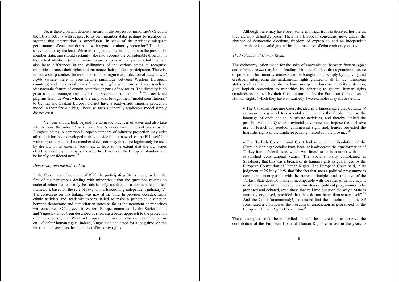So, is there a blatant double standard in the respect for minorities? Or could the EU's inactivity with respect to its own member states perhaps be justified by arguing that intervention is superfluous, in view of the perfectly adequate performance of each member state with regard to minority protection? That is not so evident, to say the least. When looking at the internal situation in the present 15 member state, one should certainly take into account the considerable diversity in the factual situations (ethnic minorities are not present everywhere), but there are also large differences in the willingness of the various states to recognise minorities, protect their rights and guarantee their political participation. There is, in fact, a sharp contrast between the common regime of protection of *fundamental rights* (where there is considerable similitude between Western European countries) and the special case of *minority rights* which are still very much an idiosyncratic feature of certain countries or parts of countries. The diversity is so great as to discourage any attempt at systematic comparison.<sup>24</sup> The academic pilgrims from the West who, in the early 90's, brought their "model constitutions" to Central and Eastern Europe, did not have a ready-made minority protection model in their first-aid kits,  $2^5$  because such a generally applicable model simply did not exist.

Yet, one should look beyond the domestic practices of states and also take into account the *international commitments* undertaken in recent years by all European states. A common European standard of minority protection may exist after all; it has been developed mainly outside the framework of the EU itself, but with the participation of its member states, and may therefore legitimately be used by the EU in its external activities, at least to the extent that the EU states effectively comply with that standard. The elements of the European standard will be briefly considered now.<sup>26</sup>

#### *Democracy and the Rule of Law*

In the Copenhagen Document of 1990, the participating States recognised, in the first of the paragraphs dealing with minorities, "that the questions relating to national minorities can only be satisfactorily resolved in a democratic political framework based on the rule of law, with a functioning independent judiciary".<sup>27</sup> The consensus on this linkage was new at the time. In previous decades, many ethnic activists and academic experts failed to make a principled distinction between democratic and authoritarian states as far as the treatment of minorities was concerned. Often, even in western Europe, countries like the Soviet Union and Yugoslavia had been described as showing a better approach to the protection of ethnic diversity than Western European countries with their unilateral emphasis on *individual* human rights. Indeed, Yugoslavia had acted for a long time, on the international scene, as the champion of minority rights.

Although there may have been some empirical truth in those earlier views, they are now definitely *passé*. There is a European consensus, now, that in the absence of democratic elections, freedom of expression and an independent judiciary, there is no solid ground for the protection of ethnic minority values.

#### *The Protection of Human Rights*

The dichotomy, often made for the sake of convenience, between *human rights* and *minority rights* may be misleading if it hides the fact that a genuine measure of protection for minority interests can be brought about simply by applying and creatively interpreting the fundamental rights granted to all. In fact, European states, such as France, that do not have any special laws on minority protection, give implicit protection to minorities by adhering to general human rights standards as defined by their Constitution and by the European Convention of Human Rights (which they have all ratified). Two examples may illustrate this:

 The Canadian Supreme Court decided in a famous case that *freedom of expression*, a general fundamental right, entails the freedom to use the language of one's choice in private activities, and thereby limited the possibility for the Quebec provincial government to impose the exclusive use of French for outdoor commercial signs and, hence, protected the linguistic rights of the English-speaking minority in the province.<sup>28</sup>

 The Turkish Constitutional Court had ordered the dissolution of the (Kurdish-leaning) Socialist Party because it advocated the transformation of Turkey into a federal state, which was found to be in contrast with longestablished constitutional values. The Socialist Party complained in Strasbourg that this was a breach of its human rights as guaranteed by the European Convention of Human Rights. The European Court held, in its judgment of 25 May 1998, that "the fact that such a political programme is considered incompatible with the current principles and structures of the Turkish State does not make it incompatible with the rules of democracy. It is of the essence of democracy to allow diverse political programmes to be proposed and debated, even those that call into question the way a State is currently organised, provided that they do not harm democracy itself".<sup>29</sup> And the Court (unanimously!) concluded that the dissolution of the SP constituted a violation of the freedom of association as guaranteed by the European Human Rights Convention.<sup>30</sup>

These examples could be multiplied. It will be interesting to observe the contribution of the European Court of Human Rights case-law in the years to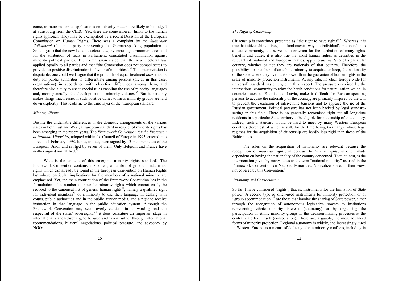come, as more numerous applications on minority matters are likely to be lodged at Strasbourg from the CEEC. Yet, there are some inherent limits to the human rights approach. They may be exemplified by a recent Decision of the European Commission on Human Rights. There was a complaint by the *Südtiroler Volkspartei* (the main party representing the German-speaking population in South Tyrol) that the new Italian electoral law, by imposing a minimum threshold for the attribution of seats in Parliament, constituted discrimination against minority political parties. The Commission stated that the new electoral law applied equally to all parties and that "the Convention does not compel states to provide for positive discrimination in favour of minorities".<sup>31</sup> This interpretation is disputable; one could well argue that the principle of equal treatment *does* entail a duty for public authorities to differentiate among persons (or, as in this case, organisations) in accordance with objective differences among them, and therefore also a duty to enact special rules enabling the use of minority languages and, more generally, the development of minority cultures.<sup>32</sup> But it certainly makes things much easier if such positive duties towards minority groups are laid down explicitly. This leads me to the third layer of the "European standard".

#### *Minority Rights*

Despite the undeniable differences in the domestic arrangements of the various states in both East and West, a European standard in respect of minority rights has been emerging in the recent years. The *Framework Convention for the Protection of National Minorities*, adopted within the Council of Europe in 1995, entered into force on 1 February 1998. It has, to date, been signed by 13 member states of the European Union and ratified by seven of them. Only Belgium and France have neither signed nor ratified.<sup>33</sup>

What is the content of this emerging minority rights standard? The Framework Convention contains, first of all, a number of general fundamental rights which can already be found in the European Convention on Human Rights but whose particular implications for the members of a national minority are emphasised. Yet, the main contribution of the Framework Convention lies in the formulation of a number of specific minority rights which cannot easily be reduced to the canonical list of general human rights<sup>34</sup>, namely a qualified right for individual members<sup>35</sup> of a minority to use their language in dealing with courts, public authorities and in the public service media, and a right to receive instruction in that language in the public education system. Although the Framework Convention may seem overly cautious in its wording and too respectful of the states' sovereignty, $36$  it does constitute an important stage in international standard-setting, to be used and taken further through international recommendations, bilateral negotiations, political pressure, and advocacy by NGOs.

### *The Right of Citizenship*

Citizenship is sometimes presented as "the right to have rights".<sup>37</sup> Whereas it is true that citizenship defines, in a fundamental way, an individual's membership to a state community, and serves as a criterion for the attribution of many rights, benefits and duties, it is also true that most human rights, as described in the relevant international and European treaties, apply to *all residents* of a particular country, whether or not they are nationals of that country. Therefore, the possibility for members of an ethnic minority to acquire, or keep, the nationality of the state where they live, ranks lower than the guarantee of human rights in the scale of minority protection instruments. At any rate, no clear Europe-wide (or universal) standard has emerged in this respect. The pressure exercised by the international community to relax the harsh conditions for naturalisation which, in countries such as Estonia and Latvia, make it difficult for Russian-speaking persons to acquire the nationality of the country, are primarily inspired by the will to prevent the escalation of inter-ethnic tensions and to appease the ire of the Russian government. Political pressure has not been backed by legal standardsetting in this field. There is no generally recognised right for all long-time residents in a particular State territory to be eligible for citizenship of that country. Indeed, such a standard would be hard to meet by many Western European countries (foremost of which is still, for the time being, Germany), whose legal regimes for the acquisition of citizenship are hardly less rigid than those of the Baltic states.

The rules on the acquisition of nationality are relevant because the recognition of *minority rights*, in contrast to *human rights*, is often made dependent on having the nationality of the country concerned. That, at least, is the interpretation given by many states to the term "national minority" as used in the Framework Convention on National Minorities. Non-citizens are, in their view, not covered by this Convention.<sup>38</sup>

#### *Autonomy and Consociation*

So far, I have considered "rights", that is, instruments for the limitation of State power. A second type of often-used instruments for minority protection or of "group accommodation"<sup>39</sup> are those that involve the sharing of State power, either through the recognition of autonomous legislative powers to institutions representing ethnic minority interests (autonomy) or by organising the participation of ethnic minority groups in the decision-making processes at the central state level itself (consociation). Those are, arguably, the most advanced forms of minority protection. Regional autonomy is widely, and increasingly, used in Western Europe as a means of defusing ethnic minority conflicts, including in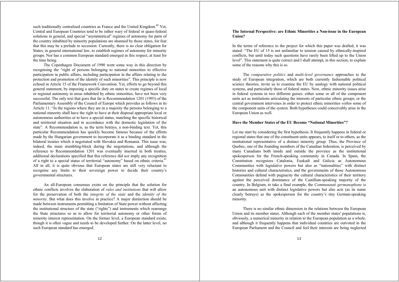such traditionally centralised countries as France and the United Kingdom.<sup>40</sup> Yet, Central and European Countries tend to be rather wary of federal or quasi-federal solutions in general, and special "asymmetrical" regimes of autonomy for parts of the country inhabited by minority populations are shunned by those states, for fear that this may be a prelude to secession. Currently, there is no clear obligation for States, in general international law, to establish regimes of autonomy for minority groups. Nor has a common European standard emerged in this respect, at least for the time being.

The Copenhagen Document of 1990 went some way in this direction by recognising the "right of persons belonging to national minorities to effective participation in public affairs, including participation in the affairs relating to the protection and promotion of the identity of such minorities". This principle is now echoed in Article 15 of the Framework Convention. Yet, efforts to go beyond this general statement, by imposing a specific duty on states to create regimes of local or regional autonomy in areas inhabited by ethnic minorities, have not been very successful. The only text that goes that far is Recommendation 1201 (1993) of the Parliamentary Assembly of the Council of Europe which provides as follows in its Article 11: "In the regions where they are in a majority the persons belonging to a national minority shall have the right to have at their disposal appropriate local or autonomous authorities or to have a special status, matching the specific historical and territorial situation and in accordance with the domestic legislation of the state". A Recommendation is, as the term betrays, a non-binding text. Yet, this particular Recommendation has quickly become famous because of the efforts made by the Hungarian government to incorporate it as a binding standard in the bilateral treaties which it negotiated with Slovakia and Romania. This issue was, indeed, the main stumbling-block during the negotiations, and although the reference to Recommendation 1201 was eventually inserted in both treaties, additional declarations specified that this reference did *not* imply any recognition of a right to a special status of territorial "autonomy" based on ethnic criteria.<sup>41</sup> All in all, it is quite obvious that European states are still very reluctant to recognise any limits to their sovereign power to decide their country's governmental structures.

An all-European consensus exists on the principle that the solution for ethnic conflicts involves the elaboration of *rules and institutions* that will allow for the preservation of both the *integrity of the state* and the *identity of the minority*. But what does this involve in practice? A major distinction should be made between instruments permitting a limitation of State power without affecting the institutional structure of the state ("rights") and instruments which rearrange the State structures so as to allow for territorial autonomy or other forms of minority interest representation. On the former level, a European standard exists, though it is often vague and needs to be developed further. On the latter level, no such European standard has emerged.

#### **The Internal Perspective: are Ethnic Minorities a Non-issue in the European Union?**

In the terms of reference to the project for which this paper was drafted, it was stated: "The EU of 15 is not unfamiliar to tension caused by ethnically-inspired conflicts, but until today such questions have rarely been lifted up to the Union level". This statement is quite correct and I shall attempt, in this section, to explain some of the reasons why this is so.

The *comparative politics* and *multi-level governance* approaches to the study of European integration, which are both currently fashionable political science theories, invite us to examine the EU by analogy with national political systems, and particularly those of federal states. Now, ethnic minority issues arise in federal systems in two different guises: either some or all of the component units act as institutions articulating the interests of particular ethnic groups; or the central government intervenes in order to protect ethnic minorities *within* some of the component units of the system. Both hypotheses could conceivably arise in the European Union as well.

#### **Have the Member States of the EU Become "National Minorities"?**

Let me start by considering the first hypothesis. It frequently happens in federal or regional states that one of the constituent units appears, to itself or to others, as the institutional representative of a distinct minority group. Thus, the Province of Quebec, one of the founding members of the Canadian federation, is perceived by many Canadians both inside and outside the province as the institutional spokesperson for the French-speaking community in Canada. In Spain, the Constitution recognizes Catalonia, Euskadi and Galicia as Autonomous Communities with legislative powers but also as "nationalities" with distinct histories and cultural characteristics, and the governments of those Autonomous Communities defend with pugnacity the cultural characteristics of their territory against the perceived dominance of the Castillian-speaking majority of the country. In Belgium, to take a final example, the *Communauté germanophone* is an autonomous unit with distinct legislative powers but also acts (as its name clearly betrays) as the spokesperson for the country's tiny German-speaking minority.

There is no similar ethnic dimension in the relations between the European Union and its member states. Although each of the member states' populations is, obviously, a numerical minority in relation to the European population as a whole, and although it frequently happens that individual countries are outvoted in the European Parliament and the Council and feel their interests are being neglected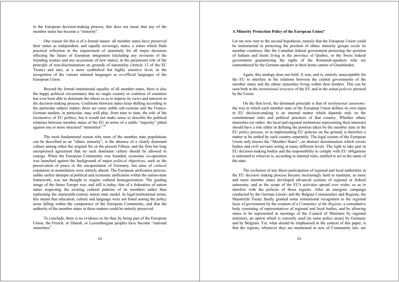in the European decision-making process, this does not mean that any of the member states has become a "minority".

One reason for this is of a formal nature: all member states have preserved their status as independent, and equally sovereign, states, a status which finds practical reflection in the requirement of unanimity for all major decisions affecting the future of European integration (including any revisions of the founding treaties and any accessions of new states), in the paramount role of the principle of non-discrimination on grounds of nationality (Article 12 of the EC Treaty) and also, at a more symbolical but highly sensitive level, in the recognition of the various national languages as co-official languages of the European Union.

Beyond the formal institutional equality of all member states, there is also the happy political circumstance that no single country or coalition of countries has ever been able to dominate the others so as to impose its views and interests in the decision-making process. Coalitions between states keep shifting according to the particular subject matter; there are some stable sub-systems and the Franco-German tandem, in particular, may well play, from time to time, the role of the locomotive of EU politics, but it would not make sense to describe the political relations between member states of the EU in terms of a stable "majority" pitted against one or more structural "minorities".<sup>42</sup>

The most fundamental reason why none of the member state populations can be described as an "ethnic minority", is the absence of a clearly dominant culture among either the original Six or the present Fifteen, and the firm but long unexpressed agreement that no such dominant culture should be allowed to emerge. When the European Community was founded, economic co-operation was launched against the background of major *political* objectives, such as the preservation of peace or the encapsulation of Germany, but aims of *cultural* expansion or assimilation were entirely absent. The European unification process, unlike earlier attempts at political and economic unification within the nation-state framework, was not thought to require cultural homogenisation. The guiding image of the future Europe was, and still is today, that of a federation of nation states respecting the existing cultural patterns of its members rather than replicating the nineteenth-century nation state model. In legal-institutional terms, this meant that education, culture and language were not listed among the policy areas falling within the competence of the European Community, and that the authority of the member states in these matters could be entirely preserved.

To conclude, there is no evidence so far that, by being part of the European Union, the French, or Danish, or Luxemburgian peoples have become "national minorities".

#### **A Minority Protection Policy of the European Union?**

Let me now turn to the second hypothesis, namely that the European Union could be instrumental in protecting the position of ethnic minority groups *inside* its member countries, like the Canadian federal government protecting the position of Indians and Inuits living in the province of Quebec, or the Swiss federal government guaranteeing the rights of the Romansh-speakers who are outnumbered by the German-speakers in their home canton of Graubünden.

Again, this analogy does not hold. It was, and is, entirely unacceptable for the EU to interfere in the relations between the central governments of the member states and the ethnic minorities living within their borders. This can be seen both in the *institutional structure* of the EU and in the actual *policies* pursued by the Union.

On the first level, the dominant principle is that of *institutional autonomy*: the way in which each member state of the European Union defines its own input in EU decision-making is an internal matter which depends only on the constitutional rules and political practices of that country. Whether ethnic minorities (or rather: the local and regional institutions representing their interests) should have a role either in defining the position taken by the member state in the EU policy process, or in implementing EU policies on the ground, is therefore a matter to be settled by each country separately. The legal system of the European Union only knows the "Member States", an abstract denomination which covers bodies and civil servants acting at many different levels. The right to take part in EU decision-making bodies and the responsibility to comply with EU obligations is entrusted to whoever is, according to internal rules, entitled to act in the name of the state.

The exclusion of any direct participation of regional and local authorities in the EU decision making process became increasingly hard to maintain, as more and more member states developed advanced systems of regional or federal autonomy, and as the scope of the EU's activities spread ever wider, so as to interfere with the policies of those regions. After an energetic campaign conducted by the German *Länder* and the Belgian Communities and Regions, the Maastricht Treaty finally granted some institutional recognition to the regional layer of government by the creation of a *Committee of the Regions*, a consultative body consisting of representatives of regional and local bodies, and by allowing states to be represented in meetings of the Council of Ministers by regional ministers, an option which is currently used (in some policy areas) by Germany and by Belgium. Yet, what should be emphasised in the context of this paper, is that the regions, whenever they are mentioned in acts of Community law, are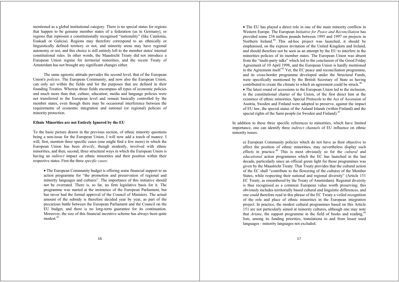mentioned as a global institutional category. There is no special status for regions that happen to be genuine member states of a federation (as in Germany), or regions that represent a constitutionally recognised "nationality" (like Catalonia, Euskadi or Galicia). Regions may therefore correspond to an ethnically or linguistically defined territory or not, and minority areas may have regional autonomy or not, and this choice is still entirely left to the member states' internal constitutional rules. In other words, the Maastricht Treaty did not introduce a European Union regime for territorial minorities, and the recent Treaty of Amsterdam has not brought any significant changes either.

The same agnostic attitude pervades the second level, that of the European Union's *policies*. The European Community, and now also the European Union, can only act within the fields and for the purposes that are defined in their founding Treaties. Whereas those fields encompass all types of economic policies and much more than that, culture, education, media and language policies were not transferred to the European level and remain basically controlled by the member states, even though there may be occasional interference between the requirements of economic integration and national (or regional) policies of minority protection.

#### **Ethnic Minorities are not Entirely Ignored by the EU**

To the basic picture drawn in the previous section, of ethnic minority questions being a non-issue for the European Union, I will now add a touch of nuance. I will, first, mention three specific cases (one might find a few more) in which the European Union has been *directly*, though modestly, involved with ethnic minorities, and then, second, three structural ways in which the European Union is having an *indirect* impact on ethnic minorities and their position within their respective states. First the three *specific cases*:

 The European Community budget is offering some financial support to an action programme for "the promotion and preservation of regional and minority languages and cultures". The importance of this initiative should not be overrated. There is, so far, no firm legislative basis for it. The programme was started at the insistence of the European Parliament, but has never had the formal approval of the Council of Ministers. The actual amount of the subsidy is therefore decided year by year, as part of the precarious battle between the European Parliament and the Council on the EU budget, and there is no long-term guarantee for its continuation. Moreover, the size of this financial incentive scheme has always been quite modest<sup>43</sup>

 The EU has played a direct role in one of the main minority conflicts in Western Europe. The European *Initiative for Peace and Reconciliation* has provided some 234 million pounds between 1995 and 1997 on projects in Northern Ireland.<sup>44</sup> This ad-hoc project was launched, it should be emphasised, on the express invitation of the United Kingdom and Ireland, and should therefore not be seen as an attempt by the EU to interfere in the minorities policies of its member states. The European Union was absent from the "multi-party talks" which led to the conclusion of the Good Friday Agreement of 10 April 1998, and the European Union is hardly mentioned in the Agreement itself.45 Yet, the EC peace and reconciliation programme, and its cross-border programme developed under the Structural Funds, were specifically mentioned by the British Secretary of State as having contributed to create the climate in which an agreement could be struck.<sup>46</sup>

 The latest round of accessions to the European Union led to the inclusion, in the constitutional charter of the Union, of the first direct hint at the existence of ethnic minorities. Special Protocols to the Act of Accession of Austria, Sweden and Finland were adopted to preserve, against the impact of EU law, the special status of the Aaland Islands (within Finland) and the special rights of the Sami people (in Sweden and Finland). $47$ 

In addition to these three specific references to minorities, which have limited importance, one can identify three *indirect channels* of EU influence on ethnic minority issues:

a) European Community policies which do not have as their objective to affect the position of ethnic minorities, may nevertheless display such effects in practice.48 This is most obviously so for the *cultural* and *educational* action programmes which the EC has launched in the last decade, particularly since an official green light for those programmes was given by the Maastricht Treaty. That Treaty provides that the cultural action of the EC shall "contribute to the flowering of the cultures of the Member States, while respecting their national and regional diversity" (Article 151 EC Treaty, as renumbered by the Treaty of Amsterdam). Regional diversity is thus recognised as a common European value worth preserving; this obviously includes territorially based cultural and linguistic differences, and one could therefore read in this phrase of the EC Treaty a veiled recognition of the role and place of ethnic minorities in the European integration project. In practice, the modest cultural programmes based on this Article 151 are not particularly aimed at minority cultures, although one may note that *Ariane*, the support programme in the field of books and reading,<sup>49</sup> lists, among its funding priorities, translations to and from lesser used languages - minority languages not excluded.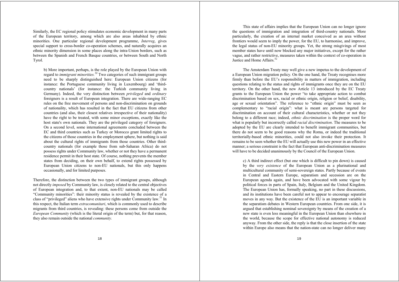Similarly, the EC regional policy stimulates economic development in many parts of the European territory, among which are also areas inhabited by ethnic minorities. One particular regional development programme, *Interreg*, gives special support to cross-border co-operation schemes, and naturally acquires an ethnic minority dimension in some places along the intra-Union borders, such as between the Spanish and French Basque countries, or between South and North Tyrol.

b) More important, perhaps, is the role played by the European Union with regard to *immigrant minorities.<sup>50</sup>* Two categories of such immigrant groups need to be sharply distinguished here: European Union citizens (for instance: the Portuguese community living in Luxembourg) and 'thirdcountry nationals' (for instance: the Turkish community living in Germany). Indeed, the very distinction between *privileged* and *ordinary* foreigners is a result of European integration. There are wide-ranging EC rules on the free movement of persons and non-discrimination on grounds of nationality, which has resulted in the fact that EU citizens from other countries (and also, their closest relatives irrespective of their nationality) have the right to be treated, with some minor exceptions, exactly like the host state's own nationals. They are the privileged category of foreigners. On a second level, some international agreements concluded between the EC and third countries such as Turkey or Morocco grant limited rights to the citizens of those countries in the employment sphere, but nothing is said about the cultural rights of immigrants from those countries. Other thirdcountry nationals (for example those from sub-Saharan Africa) do not possess rights under Community law, whether or not they have a permanent residence permit in their host state. Of course, nothing prevents the member states from deciding, on their own behalf, to extend rights possessed by European Union citizens to non-EU nationals, but this only happens occasionally, and for limited purposes.

Therefore, the distinction between the two types of immigrant groups, although not directly *imposed* by Community law, is closely related to the central objectives of European integration and, to that extent, non-EU nationals may be called "Community minorities": their minority status is revealed by the existence of a class of "privileged" aliens who have extensive rights under Community law.<sup>51</sup> In this respect, the Italian term *extracomunitari*, which is commonly used to describe migrants from third countries, is revealing: these persons come from outside the *European Community* (which is the literal origin of the term) but, for that reason, they also remain outside the national *community.*

This state of affairs implies that the European Union can no longer ignore the questions of immigration and integration of third-country nationals. More particularly, the creation of an internal market conceived as an area without frontiers would seem to imply the power, for the EU, to harmonise, and improve, the legal status of non-EU minority groups. Yet, the strong misgivings of most member states have until now blocked any major initiatives, except for the rather vague, and rather restrictive, measures taken within the context of co-operation in Justice and Home Affairs.<sup>52</sup>

The Amsterdam Treaty may well give a new impetus to the development of a European Union migration policy. On the one hand, the Treaty recognises more firmly than before the EU's responsibility in matters of immigration, including questions relating to the status and rights of immigrants once they are on the EU territory. On the other hand, the new Article 13 introduced by the EC Treaty grants to the European Union the power "to take appropriate action to combat discrimination based on sex, racial or ethnic origin, religion or belief, disability, age or sexual orientation". The reference to "ethnic origin" must be seen as complementary to "racial origin": what is meant are persons targeted for discrimination on account of their cultural characteristics, whether or not they belong to a different race; indeed, *ethnic discrimination* is the proper word for what is popularly but incorrectly called *racial discrimination*. The measures to be adopted by the EU are clearly intended to benefit immigrant communities, but there do not seem to be good reasons why the Roma, or indeed the traditional territorially-based ethnic minorities, could not also invoke their protection. It remains to be seen whether the EU will actually use this new power in an effective manner; a serious constraint is the fact that European anti-discrimination measures will have to be decided unanimously by the Council of the European Union.

c) A third indirect effect (but one which is difficult to pin down) is caused by the *very existence* of the European Union as a plurinational and multicultural community of semi-sovereign states. Partly because of events in Central and Eastern Europe, separatism and secession are on the European agenda again, and have been advocated with some vigour by political forces in parts of Spain, Italy, Belgium and the United Kingdom. The European Union has, formally speaking, no part in these discussions, and its institutions have been careful not to appear to encourage separatist moves in any way. But the existence of the EU is an important variable in the separatism debates in Western European countries. From one side, it is argued that establishing nominal sovereignty by means of the creation of a new state is even less meaningful in the European Union than elsewhere in the world, because the scope for effective national autonomy is reduced anyway. From the other side, the reply is that the close insertion of the state within Europe also means that the nation-state can no longer deliver many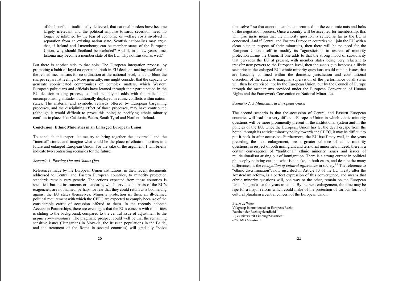of the benefits it traditionally delivered, that national borders have become largely irrelevant and the political impulse towards secession need no longer be inhibited by the fear of economic or welfare costs involved in separation from an existing nation state. Scottish nationalists may argue that, if Ireland and Luxembourg can be member states of the European Union, why should Scotland be excluded? And if, in a few years time, Estonia may become a member state of the EU, why not Euskadi as well?

But there is another side to that coin. The European integration process, by promoting a habit of loyal co-operation, both in EU decision-making itself and in the related mechanisms for co-ordination at the national level, tends to blunt the sharper separatist feelings. More generally, one might consider that the capacity to generate sophisticated compromises on complex matters, which Western European politicians and officials have learned through their participation in the EU decision-making process, is fundamentally at odds with the radical and uncompromising attitudes traditionally displayed in ethnic conflicts within nationstates. The material and symbolic rewards offered by European bargaining processes, and the disciplining effect of those processes, may have contributed (although it would difficult to prove this point) to pacifying ethnic minority conflicts in places like Catalonia, Wales, South Tyrol and Northern Ireland.

#### **Conclusion: Ethnic Minorities in an Enlarged European Union**

To conclude this paper, let me try to bring together the "external" and the "internal" stories and imagine what could be the place of ethnic minorities in a future and enlarged European Union. For the sake of the argument, I will briefly indicate two contrasting scenarios for the future.

#### *Scenario 1. Phasing Out and Status Quo*

References made by the European Union institutions, in their recent documents addressed to Central and Eastern European countries, to minority protection standards remain very generic. The actions expected from these countries is specified, but the instruments or standards, which serve as the basis of the EU's exigencies, are not named, perhaps for fear that they could return as a boomerang against the EU states themselves. Minority protection is, then, an ill-defined political requirement with which the CEEC are expected to comply because of the considerable carrot of accession offered to them. In the recently adopted Accession Partnerships, there are even signs that the EU's concern with minorities is sliding to the background, compared to the central issue of adjustment to the *acquis communautaire*. The pragmatic prospect could well be that the remaining sensitive issues (Hungarians in Slovakia, the Russian populations in the Baltic, and the treatment of the Roma in several countries) will gradually "solve themselves" so that attention can be concentrated on the economic nuts and bolts of the negotiation process. Once a country will be accepted for membership, this will *ipso facto* mean that the minority question is settled as far as the EU is concerned. And if Central and Eastern European countries will join the EU with a clean slate in respect of their minorities, then there will be no need for the European Union itself to modify its "agnosticism" in respect of minority protection *inside* the Union. If one adds to that the strong mood of subsidiarity that pervades the EU at present, with member states being very reluctant to transfer new powers to the European level, then the *status quo* becomes a likely scenario: in the enlarged EU, ethnic minority questions would remain issues that are basically confined within the domestic jurisdiction and constitutional discretion of the states. A marginal supervision of the performance of all states will then be exercised, not by the European Union, but by the Council of Europe through the mechanisms provided under the European Convention of Human Rights and the Framework Convention on National Minorities.

#### *Scenario 2: A Multicultural European Union*

The second scenario is that the accession of Central and Eastern European countries will lead to a very different European Union in which ethnic minority questions will be more prominently present in the institutional system and in the policies of the EU. Once the European Union has let the devil escape from the bottle, through its activist minority policy towards the CEEC, it may be difficult to put it back in after accession. Furthermore, the EU itself may well, in the years preceding the next enlargement, see a greater salience of ethnic minority questions, in respect of both immigrant and territorial minorities. Indeed, there is a certain convergence of "traditional" ethnic minority issues and issues of multiculturalism arising out of immigration. There is a strong current in political philosophy pointing out that what is at stake, in both cases, and despite the many differences, is the *recognition of cultural differences* in society.<sup>53</sup> The reference to "ethnic discrimination", now inscribed in Article 13 of the EC Treaty after the Amsterdam reform, is a perfect expression of this convergence, and means that ethnic minority questions will, one way or the other, remain on the European Union's agenda for the years to come. By the next enlargement, the time may be ripe for a major reform which could make of the protection of various forms of cultural pluralism a central concern of the European Union.

Bruno de Witte Vakgroep Internationaal en Europees Recht Faculteit der Rechtsgeleerdheid Rijksuniversiteit Limburg/Maastricht 6200 MD Maastricht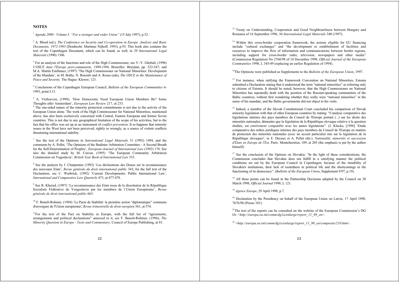#### **NOTES**

<sup>1</sup> *Agenda 2000 - Volume I: "For a stronger and wider Union"* (15 July 1997), p.52.

2 A. Bloed (ed.), *The Conference on Security and Co-operation in Europe. Analysis and Basic Documents, 1972-1993* (Dordrecht: Martinus Nijhoff, 1993), p.93. This book also contains the text of the Copenhagen Document, which can be found, as well, in 29 *International Legal Materials* (1990) 1306.

<sup>3</sup> For an analysis of the functions and role of the High Commissioner, see V.-Y. Ghebali, (1996) *L'OSCE dans l'Europe post-communiste, 1990-1996,* Bruxelles: Bruylant, pp. 522-547; and M.A. Martín Estébanez, (1997) 'The High Commissioner on National Minorities: Development of the Mandate', in M. Bothe, N. Ronzitti and A. Rosas (eds), *The OSCE in the Maintenance of Peace and Security,* The Hague: Kluwer, 123.

4 Conclusions of the Copenhagen European Council, *Bulletin of the European Communities* 6- 1993, point I.13.

<sup>5</sup> A. Verhoeven, (1998), 'How Democratic Need European Union Members Be? Some Thoughts after Amsterdam', *European Law Review* 217, at 233.

<sup>6</sup> The one-sided nature of the minority protection commitments is not due to the activity of the European Union alone. The work of the High Commissioner for National Minorities, mentioned above, has also been exclusively concerned with Central, Eastern European and former Soviet countries. This is not due to any geographical limitation of the scope of his activities, but to the fact that his office was set up as an instrument of *conflict prevention*. It so happens that minority issues in the West have not been perceived, rightly or wrongly, as a source of violent conflicts threatening international stability.

7 See the text of the Opinions in *International Legal Materials* 31 (1992) 1494, and the comments by A. Pellet, 'The Opinions of the Badinter Arbitration Committee - A Second Breath for the Self-Determination of Peoples', *European Journal of International Law* (1992) 178. See also the detailed study by M. Craven, (1995) 'The European Community Arbitration Commission on Yugoslavia', *British Year Book of International Law* 333.

8 See the analysis by J. Charpentier (1992) 'Les déclarations des Douze sur la reconnaissance des nouveaux Etats', *Revue générale du droit international public* 343; for the full text of the Declaration, see C. Warbrick, (1992) 'Current Developments: Public International Law', *International and Comparative Law Quarterly* 473, at 477-478.

9 See R. Kherad, (1997) 'La reconnaissance des Etats issus de la dissolution de la République Socialiste Fédérative de Yougoslavie par les membres de l´Union Européenne', *Revue générale de droit international public* 663.

<sup>10</sup> F. Benoît-Rohmer, (1994) 'Le Pacte de Stabilité: la première action "diplomatique" commune d'envergure de l'Union européenne', *Revue trimestrielle de droit européen* 561, at 574.

 $11$ For the text of the Pact on Stability in Europe, with the full list of "agreements, arrangements and political declarations" annexed to it, see F. Benoît-Rohmer, (1996), *The Minority Question in Europe - Texts and Commentary,* Council of Europe Publishing, at 81.

 $12$  Treaty on Understanding, Cooperation and Good Neighbourliness between Hungary and Romania of 16 September 1996, 36 *International Legal Materials* 340 (1997).

<sup>13</sup> Within this cross-border cooperation framework, the actions eligible for EU financing include "cultural exchanges" and "the development or establishment of facilities and resources to improve the flow of information and communications between border regions, including support for cross-border radio, television, newspapers and other media" (Commission Regulation No 2760/98 of 18 December 1998, *Official Journal of the European Communities* 1998, L 345/49 (replacing an earlier Regulation of 1994).

<sup>14</sup>The Opinions were published as Supplements to the *Bulletin of the European Union*, 1997.

<sup>15</sup> For instance, when ratifying the Framework Convention on National Minorities, Estonia submitted a Declaration stating that it understood the term "national minorities" as referring only to citizens of Estonia. It should be noted, however, that the High Commissioner on National Minorities has repeatedly dealt with the position of the Russian-speaking communities of the Baltic countries, without first wondering whether they really were "national minorities" in the sense of his mandate, and the Baltic governments did not object to his visits.

<sup>16</sup> Indeed, a member of the Slovak Constitutional Court concluded his comparison of Slovak minority legislation with that of other European countries by stating: "L'analyse comparative des législations internes des pays membres du Conseil de l'Europe portant (...) sur les droits des minorités nationales, démontre que la législation de la République slovaque relative à la question étudiée, est *entièrement compatible* avec les autres législations". (J. Klucka, [1996] 'Etude comparative des ordres juridiques internes des pays membres du Conseil de l'Europe en matière de protection des minorités nationales (avec un accent particulier mis sur la législation de la République slovaque)', in E. Decaux et A. Pellet (dir.), *Nationalité, minorités et succession d'Etats en Europe de l'Est,* Paris: Montchrestien, 189, at 205 (the emphasis is put by the author himself).

 $17$  See the conclusion of the Opinion on Slovakia: "In the light of these considerations, the Commission concludes that Slovakia does not fulfill in a satisfying manner the political conditions set out by the European Council in Copenhagen, because of the instability of Slovakia's institutions, their lack of rootedness in political life and the shortcomings in the functioning of its democracy". (*Bulletin of the European Union*, Supplement 9/97, p.19).

<sup>18</sup> All these points can be found in the Partnership Decisions adopted by the Council on 30 March 1998, *Official Journal* 1998, L 121.

<sup>19</sup> *Agence Europe*, 29 April 1998, p.7.

 $20$  Declaration by the Presidency on behalf of the European Union on Latvia, 17 April 1998. 7676/98 (Presse 101).

<sup>21</sup>The text of the reports can be consulted on the website of the European Commission's DG IA: <*http://europa.eu.int/comm/dg1a/enlarge/report\_11\_98\_en*>.

22 <*http://europa.eu.int/comm/dg1a/enlarge/report\_11\_98\_en/composite/210.htm*>.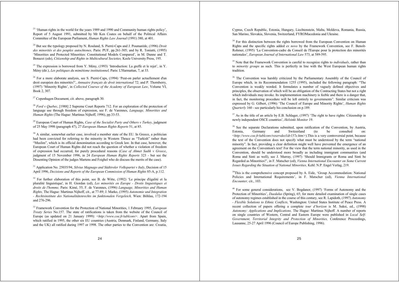$23$  'Human rights in the world for the years 1989 and 1990 and Community human rights policy'. Report of 5 August 1991, submitted by Mr Ken Coates on behalf of the Political Affairs Committee of the European Parliament, *Human Rights Law Journal* (1991) 380, at 401.

<sup>24</sup> But see the typology proposed by N. Rouland, S. Pierré-Caps and J. Poumarède, (1996) *Droit des minorités et des peuples autochtones,* Paris: PUF, pp.261-305; and by R. Toniatti, (1995) 'Minorities and Protected Minorities: Constitutional Models Compared', in M. Dunne and T. Bonazzi (eds), *Citizenship and Rights in Multicultural Societies,* Keele University Press, 195.

<sup>25</sup> The expression is borrowed from Y. Mény, (1993) 'Introduction: La greffe et le rejet', in Y. Mény (dir.), *Les politiques du mimétisme institutionnel,* Paris: L'Harmattan, 7, at 33.

<sup>26</sup> For a more elaborate analysis, see S. Pierré-Caps, (1994) 'Peut-on parler actuellement d'un droit européen des minorités?', *Annuaire français de droit international* 72; and P. Thornberry, (1997) 'Minority Rights', in *Collected Courses of the Academy of European Law*, Volume VI, Book 2, 307.

 $27$  Copenhagen Document, cit. above, paragraph 30.

<sup>28</sup> *Ford v Ouebec*, [1988] 2 Supreme Court Reports 712. For an exploration of the protection of language use through freedom of expression, see F. de Varennes, *Language, Minorities and Human Rights* (The Hague: Martinus Nijhoff, 1996), pp.33-53.

29 European Court of Human Rights, *Case of the Socialist Party and Others v Turkey*, judgment of 25 May 1998 (paragraph 47), 27 *European Human Rights Reports* 51, at 85.

<sup>30</sup> A similar, somewhat earlier case, involved a member state of the EU. In Greece, a politician had been convicted for referring to the minority in Western Thrace as "Turkish" rather than "Muslim", which is its official denomination according to Greek law. In that case, however, the European Court of Human Rights did not reach the question of whether a violation of freedom of expression had occurred, for purely procedural reasons (*Case of Ahmet Sadik v Greece*, judgment of 15 November 1996, in 24 *European Human Rights Reports* 323 - but see the Dissenting Opinion of the judges Martens and Foighel who do discuss the merits of the case).

31 Application No. 25035/94, *Silvius Magnago and Südtiroler Volkspartei v Italy*, Decision of 15 April 1996, *Decisions and Reports of the European Commission of Human Rights* 85-A, p.112.

 $32$  For further elaboration of this point, see B, de Witte, (1992) 'Le principe d'égalité et la pluralité linguistique', in H. Giordan (ed), *Les minorités en Europe - Droits linguistiques et droits de l'homme,* Paris: Kimé, 55; F. de Varennes, (1996) *Language, Minorities and Human Rights,* The Hague: Martinus Nijhoff, cit., at 77-89; J. Marko, (1995) *Autonomie und Integration - Rechtsinstitute des Nationalitätenrechts im funktionalen Vergeleich,* Wien: Böhlau, 172-194 and 276-296.

33 Framework Convention for the Protection of National Minorities, 1 February 1995, *European Treaty Series* No.157. The state of ratifications is taken from the website of the Council of Europe (as updated on 21 January 1999): <*http://www.coe.fr/tablconv*>. Apart from Spain, which ratified in 1995, the other six EU countries (Austria, Denmark, Finland, Germany, Italy and the UK) all ratified during 1997 or 1998. The other parties to the Convention are: Croatia,

Cyprus, Czech Republic, Estonia, Hungary, Liechtenstein, Malta, Moldova, Romania, Russia, San Marino, Slovakia, Slovenia, Switzerland, FYROMacedonia and Ukraine.

<sup>34</sup> For this distinction between the rights borrowed from the European Convention on Human Rights and the specific rights added *ex novo* by the Framework Convention, see F. Benoît-Rohmer, (1995) 'La Convention-cadre du Conseil de l'Europe pour la protection des minorités nationales', *European Journal of International Law* 573, at 589-595.

35 Note that the Framework Convention is careful to recognize rights to *individuals*, rather than to *minority groups* as such. This is perfectly in line with the West European human rights tradition.

<sup>36</sup> The Convention was harshly criticized by the Parliamentary Assembly of the Council of Europe which, in its Recommendation 1255 (1995), included the following paragraph: "The Convention is weakly worded. It formulates a number of vaguely defined objectives and principles, the observation of which will be an obligation of the Contracting States but not a right which individuals may invoke. Its implementation machinery is feeble and there is a danger that, in fact, the monitoring procedure will be left entirely to governments". Similar criticism was expressed by G. Gilbert, (1996) 'The Council of Europe and Minority Rights', *Human Rights Quarterly* 160 - see particularly his conclusion on p.189.

 $37$  As in the title of an article by E.B. Schlager, (1997) 'The right to have rights: Citizenship in newly independent OSCE countries', *Helsinki Monitor* 19.

<sup>38</sup> See the separate Declarations submitted, upon ratification of the Convention, by Austria, Estonia, Germany and Switzerland (to be consulted on: <sup>&</sup>lt;*http://www.coe.fr/tablconv/reservdecl/dr157e.htm>*).This is a very controversial point, because the text of the Convention does not specify what must be understood by the term "national minority". In fact, providing a clear definition might well have prevented the emergence of an agreement on the Convention's text! For the view that the term national minority, as used in the Convention, should be understood more broadly as including immigrant communities (and Roma and Sinti as well), see J. Murray, (1997) 'Should Immigrants or Roma and Sinti be Regarded as Minorities?', in F. Matscher (ed), *Vienna International Encounter on Some Current Issues Regarding the Situation of National Minorities,* Kehl: N.P. Engel Verlag, 219.

 $39$ This is the comprehensive concept proposed by A. Eide, 'Group Accommodation: National Policies and International Requirements', in F. Matscher (ed), *Vienna International Encounter,* cit., 103.

40 For some general considerations, see V. Bogdanor, (1997) 'Forms of Autonomy and the Protection of Minorities', *Daedalus* (Spring), 65; for more detailed examination of single cases of autonomy regimes established in the course of this century, see R. Lapidoth, (1997) *Autonomy - Flexible Solutions to Ethnic Conflicts,* Washington: United States Institute of Peace Press. A recent collection of papers offering a complete *tour d'horizon* is M. Suksi, ed., (1998) *Autonomy: Applications and Implications,* The Hague: Martinus Nijhoff. A number of reports on single countries of Western, Central and Eastern Europe were published in *Local Self-Government, Territorial Integrity and Protection of Minorities,* Conference Proceedings, Lausanne, 25-27 April 1996 (Council of Europe Publishing, 1996).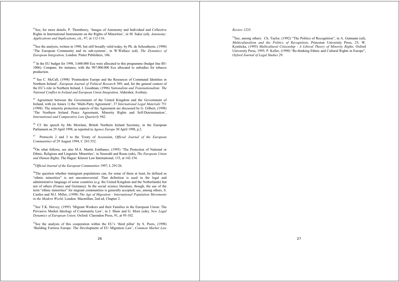41See, for more details, P. Thornberry, 'Images of Autonomy and Individual and Collective Rights in International Instruments on the Rights of Minorities', in M. Suksi (ed), *Autonomy: Applications and Implications*, cit., 97, at 112-116.

 $42$ See the analysis, written in 1990, but still broadly valid today, by Ph. de Schoutheete, (1990) 'The European Community and its sub-systems', in W.Wallace (ed), *The Dynamics of European Integration,* London: Pinter Publishers, 106.

<sup>43</sup> In the EU budget for 1998, 3.600.000 Ecu were allocated to this programme (budget line B3-1006). Compare, for instance, with the 987.000.000 Ecu allocated to subsidies for tobacco production.

44 See C. McCall, (1998) 'Postmodern Europe and the Resources of Communal Identities in Northern Ireland', *European Journal of Political Research* 389; and, for the general context of the EU's role in Northern Ireland, J. Goodman, (1996) *Nationalism and Transnationalism: The National Conflict in Ireland and European Union Integration,* Aldershot, Avebury.

<sup>45</sup> Agreement between the Government of the United Kingdom and the Government of Ireland, with (in Annex 1) the 'Multi-Party Agreement', 37 *International Legal Materials* 751 (1998). The minority protection aspects of the Agreement are discussed by G. Gilbert, (1998) 'The Northern Ireland Peace Agreement, Minority Rights and Self-Determination', *International and Comparative Law Quarterly* 942.

46 Cf. the speech by Mo Mowlam, British Northern Ireland Secretary, in the European Parliament on 29 April 1998, as reported in *Agence Europe* 30 April 1998, p.2.

47 Protocols 2 and 3 to the Treaty of Accession, *Official Journal of the European Communities* of 29 August 1994, C 241/352.

<sup>48</sup>On what follows, see also M.A. Martín Estébanez, (1995) 'The Protection of National or Ethnic, Religious and Linguistic Minorities', in Neuwahl and Rosas (eds), *The European Union and Human Rights,* The Hague: Kluwer Law International, 133, at 142-154.

*49Official Journal of the European Communities* 1997, L 291/26.

<sup>50</sup>The question whether immigrant populations can, for some of them at least, be defined as "ethnic minorities" is not uncontroversial. That definition is used in the legal and administrative language of some countries (e.g. the United Kingdom and the Netherlands) but not of others (France and Germany). In the social science literature, though, the use of the term "ethnic minorities" for migrant communities is generally accepted; see, among others, S. Castles and M.J. Miller, (1998) *The Age of Migration - International Population Movements in the Modern World,* London: Macmillan, 2nd ed, Chapter 2.

 $<sup>51</sup>$ See T.K. Hervey, (1995) 'Migrant Workers and their Families in the European Union: The</sup> Pervasive Market Ideology of Community Law', in J. Shaw and G. More (eds), *New Legal Dynamics of European Union,* Oxford: Clarendon Press, 91, at 95-102.

 $52$ See the analysis of this cooperation within the EU's 'third pillar' by S. Peers, (1998) 'Building Fortress Europe: The Development of EU Migration Law', *Common Market Law*

#### *Review* 1235.

 $53$ See, among others: Ch. Taylor, (1992) "The Politics of Recognition", in A. Gutmann (ed), *Multiculturalism and the Politics of Recognition*, Princeton University Press, 25; W. Kymlicka, (1995) *Multicultural Citizenship - A Liberal Theory of Minority Rights,* Oxford University Press, 1995; P. Keller, (1998) "Re-thinking Ethnic and Cultural Rights in Europe", *Oxford Journal of Legal Studies* 29.